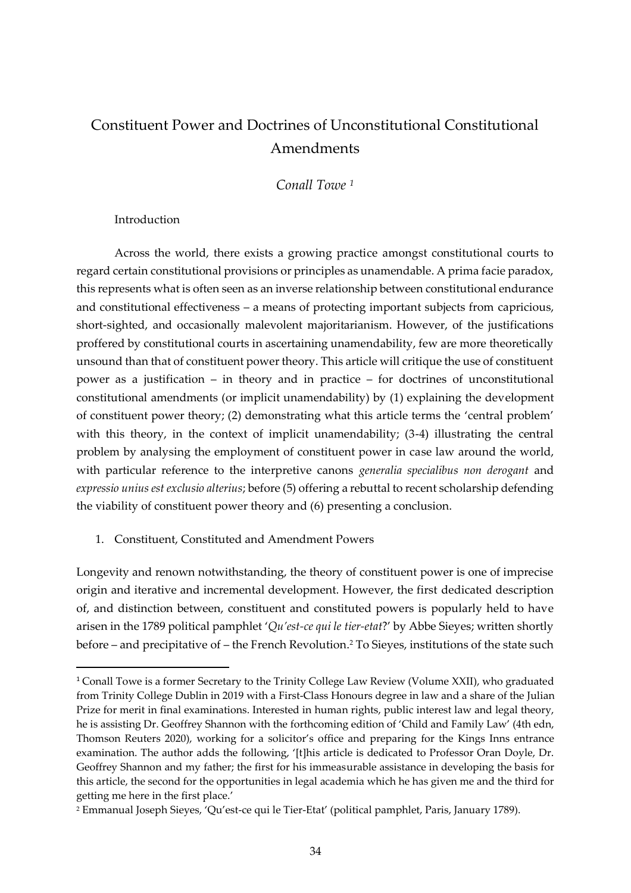# Constituent Power and Doctrines of Unconstitutional Constitutional Amendments

*Conall Towe <sup>1</sup>*

Introduction

Across the world, there exists a growing practice amongst constitutional courts to regard certain constitutional provisions or principles as unamendable. A prima facie paradox, this represents what is often seen as an inverse relationship between constitutional endurance and constitutional effectiveness – a means of protecting important subjects from capricious, short-sighted, and occasionally malevolent majoritarianism. However, of the justifications proffered by constitutional courts in ascertaining unamendability, few are more theoretically unsound than that of constituent power theory. This article will critique the use of constituent power as a justification – in theory and in practice – for doctrines of unconstitutional constitutional amendments (or implicit unamendability) by (1) explaining the development of constituent power theory; (2) demonstrating what this article terms the 'central problem' with this theory, in the context of implicit unamendability; (3-4) illustrating the central problem by analysing the employment of constituent power in case law around the world, with particular reference to the interpretive canons *generalia specialibus non derogant* and *expressio unius est exclusio alterius*; before (5) offering a rebuttal to recent scholarship defending the viability of constituent power theory and (6) presenting a conclusion.

1. Constituent, Constituted and Amendment Powers

Longevity and renown notwithstanding, the theory of constituent power is one of imprecise origin and iterative and incremental development. However, the first dedicated description of, and distinction between, constituent and constituted powers is popularly held to have arisen in the 1789 political pamphlet '*Qu'est-ce qui le tier-etat*?' by Abbe Sieyes; written shortly before – and precipitative of – the French Revolution. <sup>2</sup> To Sieyes, institutions of the state such

<sup>1</sup> Conall Towe is a former Secretary to the Trinity College Law Review (Volume XXII), who graduated from Trinity College Dublin in 2019 with a First-Class Honours degree in law and a share of the Julian Prize for merit in final examinations. Interested in human rights, public interest law and legal theory, he is assisting Dr. Geoffrey Shannon with the forthcoming edition of 'Child and Family Law' (4th edn, Thomson Reuters 2020), working for a solicitor's office and preparing for the Kings Inns entrance examination. The author adds the following, '[t]his article is dedicated to Professor Oran Doyle, Dr. Geoffrey Shannon and my father; the first for his immeasurable assistance in developing the basis for this article, the second for the opportunities in legal academia which he has given me and the third for getting me here in the first place.'

<sup>2</sup> Emmanual Joseph Sieyes, 'Qu'est-ce qui le Tier-Etat' (political pamphlet, Paris, January 1789).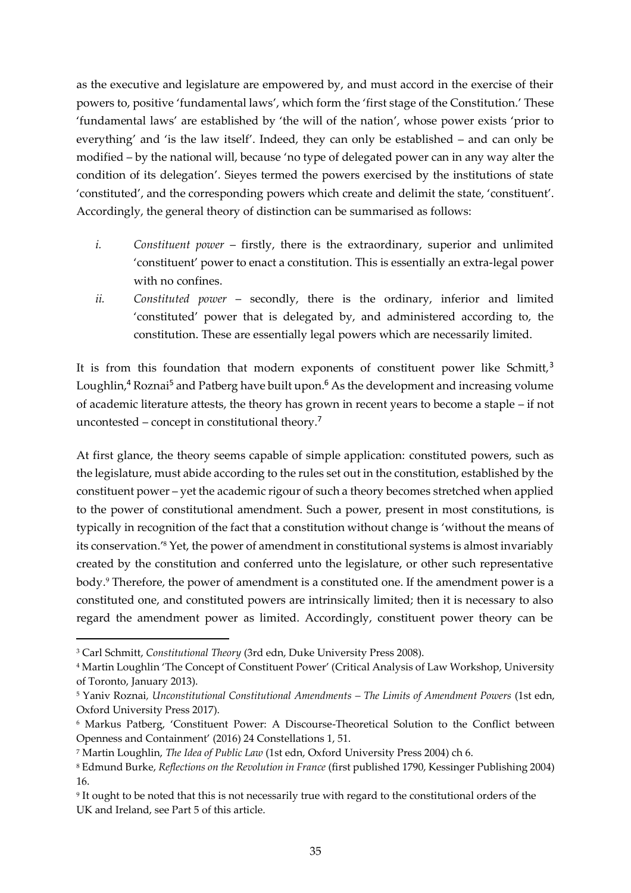as the executive and legislature are empowered by, and must accord in the exercise of their powers to, positive 'fundamental laws', which form the 'first stage of the Constitution.' These 'fundamental laws' are established by 'the will of the nation', whose power exists 'prior to everything' and 'is the law itself'. Indeed, they can only be established – and can only be modified – by the national will, because 'no type of delegated power can in any way alter the condition of its delegation'. Sieyes termed the powers exercised by the institutions of state 'constituted', and the corresponding powers which create and delimit the state, 'constituent'. Accordingly, the general theory of distinction can be summarised as follows:

- *i. Constituent power* firstly, there is the extraordinary, superior and unlimited 'constituent' power to enact a constitution. This is essentially an extra-legal power with no confines.
- *ii. Constituted power* secondly, there is the ordinary, inferior and limited 'constituted' power that is delegated by, and administered according to, the constitution. These are essentially legal powers which are necessarily limited.

It is from this foundation that modern exponents of constituent power like Schmitt, $3$ Loughlin,<sup>4</sup> Roznai<sup>5</sup> and Patberg have built upon.<sup>6</sup> As the development and increasing volume of academic literature attests, the theory has grown in recent years to become a staple – if not uncontested – concept in constitutional theory.<sup>7</sup>

At first glance, the theory seems capable of simple application: constituted powers, such as the legislature, must abide according to the rules set out in the constitution, established by the constituent power – yet the academic rigour of such a theory becomes stretched when applied to the power of constitutional amendment. Such a power, present in most constitutions, is typically in recognition of the fact that a constitution without change is 'without the means of its conservation.' <sup>8</sup> Yet, the power of amendment in constitutional systems is almost invariably created by the constitution and conferred unto the legislature, or other such representative body.<sup>9</sup> Therefore, the power of amendment is a constituted one. If the amendment power is a constituted one, and constituted powers are intrinsically limited; then it is necessary to also regard the amendment power as limited. Accordingly, constituent power theory can be

<sup>3</sup> Carl Schmitt, *Constitutional Theory* (3rd edn, Duke University Press 2008).

<sup>4</sup> Martin Loughlin 'The Concept of Constituent Power' (Critical Analysis of Law Workshop, University of Toronto, January 2013).

<sup>5</sup> Yaniv Roznai*, Unconstitutional Constitutional Amendments – The Limits of Amendment Powers* (1st edn, Oxford University Press 2017).

<sup>6</sup> Markus Patberg, 'Constituent Power: A Discourse-Theoretical Solution to the Conflict between Openness and Containment' (2016) 24 Constellations 1, 51.

<sup>7</sup> Martin Loughlin, *The Idea of Public Law* (1st edn, Oxford University Press 2004) ch 6.

<sup>8</sup> Edmund Burke, *Reflections on the Revolution in France* (first published 1790, Kessinger Publishing 2004) 16.

<sup>9</sup> It ought to be noted that this is not necessarily true with regard to the constitutional orders of the UK and Ireland, see Part 5 of this article.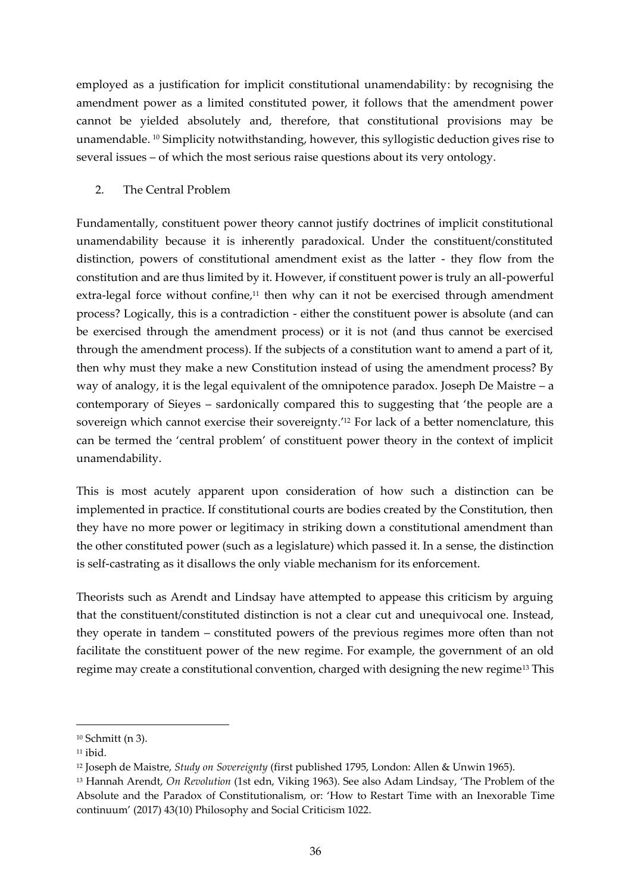employed as a justification for implicit constitutional unamendability: by recognising the amendment power as a limited constituted power, it follows that the amendment power cannot be yielded absolutely and, therefore, that constitutional provisions may be unamendable. <sup>10</sup> Simplicity notwithstanding, however, this syllogistic deduction gives rise to several issues – of which the most serious raise questions about its very ontology.

## 2. The Central Problem

Fundamentally, constituent power theory cannot justify doctrines of implicit constitutional unamendability because it is inherently paradoxical. Under the constituent/constituted distinction, powers of constitutional amendment exist as the latter - they flow from the constitution and are thus limited by it. However, if constituent power is truly an all-powerful extra-legal force without confine,<sup>11</sup> then why can it not be exercised through amendment process? Logically, this is a contradiction - either the constituent power is absolute (and can be exercised through the amendment process) or it is not (and thus cannot be exercised through the amendment process). If the subjects of a constitution want to amend a part of it, then why must they make a new Constitution instead of using the amendment process? By way of analogy, it is the legal equivalent of the omnipotence paradox. Joseph De Maistre – a contemporary of Sieyes – sardonically compared this to suggesting that 'the people are a sovereign which cannot exercise their sovereignty.' <sup>12</sup> For lack of a better nomenclature, this can be termed the 'central problem' of constituent power theory in the context of implicit unamendability.

This is most acutely apparent upon consideration of how such a distinction can be implemented in practice. If constitutional courts are bodies created by the Constitution, then they have no more power or legitimacy in striking down a constitutional amendment than the other constituted power (such as a legislature) which passed it. In a sense, the distinction is self-castrating as it disallows the only viable mechanism for its enforcement.

Theorists such as Arendt and Lindsay have attempted to appease this criticism by arguing that the constituent/constituted distinction is not a clear cut and unequivocal one. Instead, they operate in tandem – constituted powers of the previous regimes more often than not facilitate the constituent power of the new regime. For example, the government of an old regime may create a constitutional convention, charged with designing the new regime<sup>13</sup> This

<sup>10</sup> Schmitt (n 3).

 $11$  ibid.

<sup>12</sup> Joseph de Maistre, *Study on Sovereignty* (first published 1795, London: Allen & Unwin 1965).

<sup>13</sup> Hannah Arendt, *On Revolution* (1st edn, Viking 1963). See also Adam Lindsay, 'The Problem of the Absolute and the Paradox of Constitutionalism, or: 'How to Restart Time with an Inexorable Time continuum' (2017) 43(10) Philosophy and Social Criticism 1022.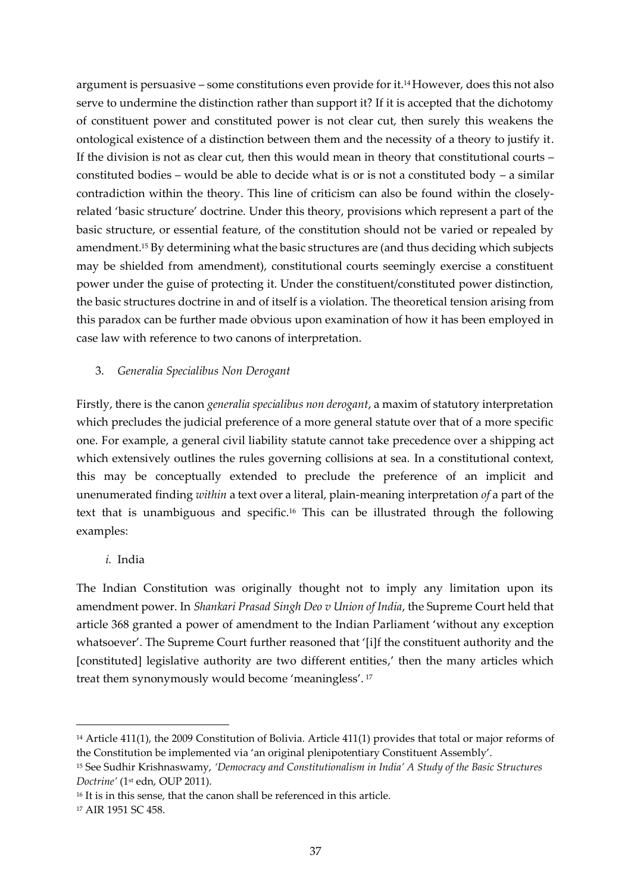argument is persuasive – some constitutions even provide for it.14However, does this not also serve to undermine the distinction rather than support it? If it is accepted that the dichotomy of constituent power and constituted power is not clear cut, then surely this weakens the ontological existence of a distinction between them and the necessity of a theory to justify it. If the division is not as clear cut, then this would mean in theory that constitutional courts – constituted bodies – would be able to decide what is or is not a constituted body – a similar contradiction within the theory. This line of criticism can also be found within the closelyrelated 'basic structure' doctrine. Under this theory, provisions which represent a part of the basic structure, or essential feature, of the constitution should not be varied or repealed by amendment. <sup>15</sup> By determining what the basic structures are (and thus deciding which subjects may be shielded from amendment), constitutional courts seemingly exercise a constituent power under the guise of protecting it. Under the constituent/constituted power distinction, the basic structures doctrine in and of itself is a violation. The theoretical tension arising from this paradox can be further made obvious upon examination of how it has been employed in case law with reference to two canons of interpretation.

## 3. *Generalia Specialibus Non Derogant*

Firstly, there is the canon *generalia specialibus non derogant*, a maxim of statutory interpretation which precludes the judicial preference of a more general statute over that of a more specific one. For example, a general civil liability statute cannot take precedence over a shipping act which extensively outlines the rules governing collisions at sea. In a constitutional context, this may be conceptually extended to preclude the preference of an implicit and unenumerated finding *within* a text over a literal, plain-meaning interpretation *of* a part of the text that is unambiguous and specific.<sup>16</sup> This can be illustrated through the following examples:

## *i.* India

The Indian Constitution was originally thought not to imply any limitation upon its amendment power. In *Shankari Prasad Singh Deo v Union of India*, the Supreme Court held that article 368 granted a power of amendment to the Indian Parliament 'without any exception whatsoever'. The Supreme Court further reasoned that '[i]f the constituent authority and the [constituted] legislative authority are two different entities,' then the many articles which treat them synonymously would become 'meaningless'.<sup>17</sup>

<sup>14</sup> Article 411(1), the 2009 Constitution of Bolivia. Article 411(1) provides that total or major reforms of the Constitution be implemented via 'an original plenipotentiary Constituent Assembly'.

<sup>15</sup> See Sudhir Krishnaswamy, *'Democracy and Constitutionalism in India' A Study of the Basic Structures Doctrine'* (1st edn, OUP 2011).

<sup>&</sup>lt;sup>16</sup> It is in this sense, that the canon shall be referenced in this article.

<sup>17</sup> AIR 1951 SC 458.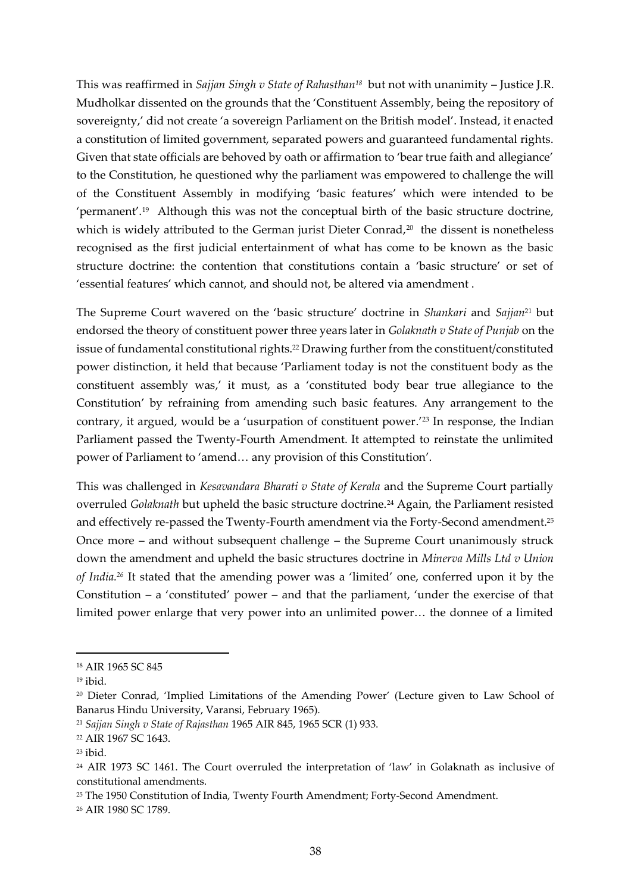This was reaffirmed in *Sajjan Singh v State of Rahasthan<sup>18</sup>* but not with unanimity – Justice J.R. Mudholkar dissented on the grounds that the 'Constituent Assembly, being the repository of sovereignty,' did not create 'a sovereign Parliament on the British model'. Instead, it enacted a constitution of limited government, separated powers and guaranteed fundamental rights. Given that state officials are behoved by oath or affirmation to 'bear true faith and allegiance' to the Constitution, he questioned why the parliament was empowered to challenge the will of the Constituent Assembly in modifying 'basic features' which were intended to be 'permanent'.<sup>19</sup> Although this was not the conceptual birth of the basic structure doctrine, which is widely attributed to the German jurist Dieter Conrad, 20 the dissent is nonetheless recognised as the first judicial entertainment of what has come to be known as the basic structure doctrine: the contention that constitutions contain a 'basic structure' or set of 'essential features' which cannot, and should not, be altered via amendment .

The Supreme Court wavered on the 'basic structure' doctrine in *Shankari* and *Sajjan*<sup>21</sup> but endorsed the theory of constituent power three years later in *Golaknath v State of Punjab* on the issue of fundamental constitutional rights.<sup>22</sup> Drawing further from the constituent/constituted power distinction, it held that because 'Parliament today is not the constituent body as the constituent assembly was,' it must, as a 'constituted body bear true allegiance to the Constitution' by refraining from amending such basic features. Any arrangement to the contrary, it argued, would be a 'usurpation of constituent power.' <sup>23</sup> In response, the Indian Parliament passed the Twenty-Fourth Amendment. It attempted to reinstate the unlimited power of Parliament to 'amend… any provision of this Constitution'.

This was challenged in *Kesavandara Bharati v State of Kerala* and the Supreme Court partially overruled *Golaknath* but upheld the basic structure doctrine.<sup>24</sup> Again, the Parliament resisted and effectively re-passed the Twenty-Fourth amendment via the Forty-Second amendment.<sup>25</sup> Once more – and without subsequent challenge – the Supreme Court unanimously struck down the amendment and upheld the basic structures doctrine in *Minerva Mills Ltd v Union of India.<sup>26</sup>* It stated that the amending power was a 'limited' one, conferred upon it by the Constitution – a 'constituted' power – and that the parliament, 'under the exercise of that limited power enlarge that very power into an unlimited power… the donnee of a limited

<sup>25</sup> The 1950 Constitution of India, Twenty Fourth Amendment; Forty-Second Amendment.

<sup>26</sup> AIR 1980 SC 1789.

<sup>18</sup> AIR 1965 SC 845

<sup>19</sup> ibid.

<sup>20</sup> Dieter Conrad, 'Implied Limitations of the Amending Power' (Lecture given to Law School of Banarus Hindu University, Varansi, February 1965).

<sup>21</sup> *Sajjan Singh v State of Rajasthan* 1965 AIR 845, 1965 SCR (1) 933.

<sup>22</sup> AIR 1967 SC 1643.

<sup>23</sup> ibid.

<sup>24</sup> AIR 1973 SC 1461. The Court overruled the interpretation of 'law' in Golaknath as inclusive of constitutional amendments.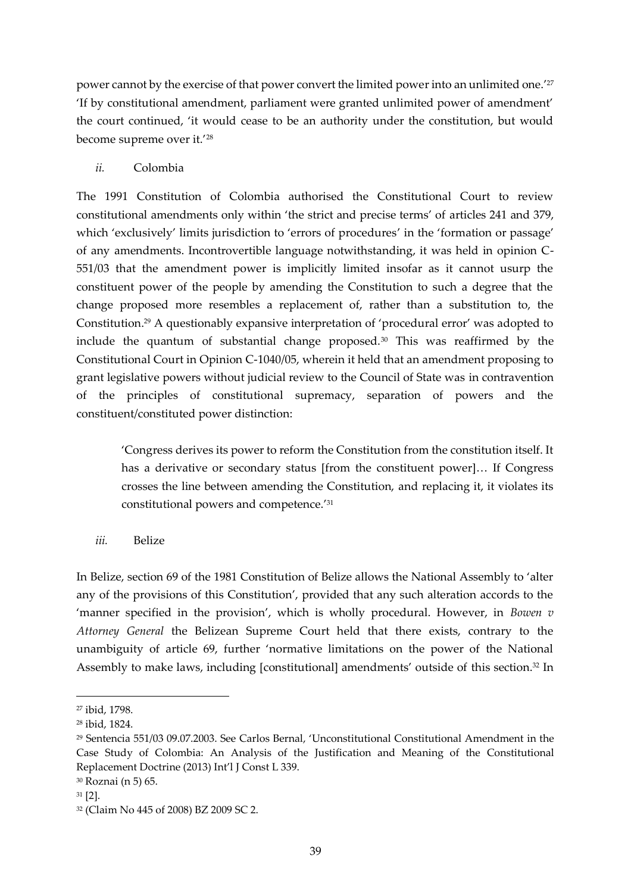power cannot by the exercise of that power convert the limited power into an unlimited one.' 27 'If by constitutional amendment, parliament were granted unlimited power of amendment' the court continued, 'it would cease to be an authority under the constitution, but would become supreme over it.'<sup>28</sup>

# *ii.* Colombia

The 1991 Constitution of Colombia authorised the Constitutional Court to review constitutional amendments only within 'the strict and precise terms' of articles 241 and 379, which 'exclusively' limits jurisdiction to 'errors of procedures' in the 'formation or passage' of any amendments. Incontrovertible language notwithstanding, it was held in opinion C-551/03 that the amendment power is implicitly limited insofar as it cannot usurp the constituent power of the people by amending the Constitution to such a degree that the change proposed more resembles a replacement of, rather than a substitution to, the Constitution.<sup>29</sup> A questionably expansive interpretation of 'procedural error' was adopted to include the quantum of substantial change proposed.<sup>30</sup> This was reaffirmed by the Constitutional Court in Opinion C-1040/05, wherein it held that an amendment proposing to grant legislative powers without judicial review to the Council of State was in contravention of the principles of constitutional supremacy, separation of powers and the constituent/constituted power distinction:

'Congress derives its power to reform the Constitution from the constitution itself. It has a derivative or secondary status [from the constituent power]… If Congress crosses the line between amending the Constitution, and replacing it, it violates its constitutional powers and competence.'<sup>31</sup>

*iii.* Belize

In Belize, section 69 of the 1981 Constitution of Belize allows the National Assembly to 'alter any of the provisions of this Constitution', provided that any such alteration accords to the 'manner specified in the provision', which is wholly procedural. However, in *Bowen v Attorney General* the Belizean Supreme Court held that there exists, contrary to the unambiguity of article 69, further 'normative limitations on the power of the National Assembly to make laws, including [constitutional] amendments' outside of this section.<sup>32</sup> In

<sup>27</sup> ibid, 1798.

<sup>28</sup> ibid, 1824.

<sup>29</sup> Sentencia 551/03 09.07.2003. See Carlos Bernal, 'Unconstitutional Constitutional Amendment in the Case Study of Colombia: An Analysis of the Justification and Meaning of the Constitutional Replacement Doctrine (2013) Int'l J Const L 339.

<sup>30</sup> Roznai (n 5) 65.

<sup>31</sup> [2].

<sup>32</sup> (Claim No 445 of 2008) BZ 2009 SC 2.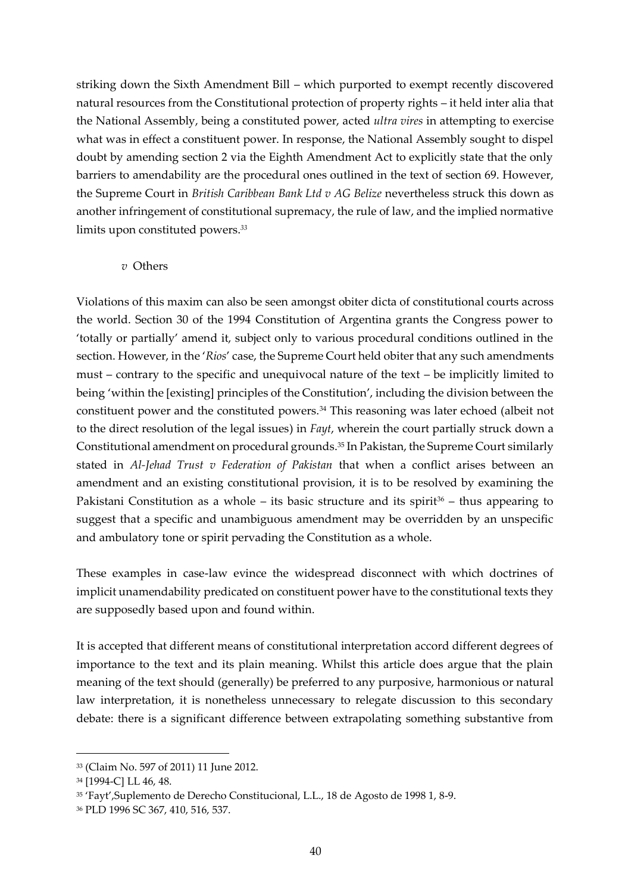striking down the Sixth Amendment Bill – which purported to exempt recently discovered natural resources from the Constitutional protection of property rights – it held inter alia that the National Assembly, being a constituted power, acted *ultra vires* in attempting to exercise what was in effect a constituent power. In response, the National Assembly sought to dispel doubt by amending section 2 via the Eighth Amendment Act to explicitly state that the only barriers to amendability are the procedural ones outlined in the text of section 69. However, the Supreme Court in *British Caribbean Bank Ltd v AG Belize* nevertheless struck this down as another infringement of constitutional supremacy, the rule of law, and the implied normative limits upon constituted powers.*<sup>33</sup>*

#### *v* Others

Violations of this maxim can also be seen amongst obiter dicta of constitutional courts across the world. Section 30 of the 1994 Constitution of Argentina grants the Congress power to 'totally or partially' amend it, subject only to various procedural conditions outlined in the section. However, in the '*Rios*' case, the Supreme Court held obiter that any such amendments must – contrary to the specific and unequivocal nature of the text – be implicitly limited to being 'within the [existing] principles of the Constitution', including the division between the constituent power and the constituted powers.<sup>34</sup> This reasoning was later echoed (albeit not to the direct resolution of the legal issues) in *Fayt*, wherein the court partially struck down a Constitutional amendment on procedural grounds.<sup>35</sup> In Pakistan, the Supreme Court similarly stated in *Al-Jehad Trust v Federation of Pakistan* that when a conflict arises between an amendment and an existing constitutional provision, it is to be resolved by examining the Pakistani Constitution as a whole – its basic structure and its spirit<sup>36</sup> – thus appearing to suggest that a specific and unambiguous amendment may be overridden by an unspecific and ambulatory tone or spirit pervading the Constitution as a whole.

These examples in case-law evince the widespread disconnect with which doctrines of implicit unamendability predicated on constituent power have to the constitutional texts they are supposedly based upon and found within.

It is accepted that different means of constitutional interpretation accord different degrees of importance to the text and its plain meaning. Whilst this article does argue that the plain meaning of the text should (generally) be preferred to any purposive, harmonious or natural law interpretation, it is nonetheless unnecessary to relegate discussion to this secondary debate: there is a significant difference between extrapolating something substantive from

<sup>33</sup> (Claim No. 597 of 2011) 11 June 2012.

<sup>34</sup> [1994-C] LL 46, 48.

<sup>35</sup> 'Fayt',Suplemento de Derecho Constitucional, L.L., 18 de Agosto de 1998 1, 8-9.

<sup>36</sup> PLD 1996 SC 367, 410, 516, 537.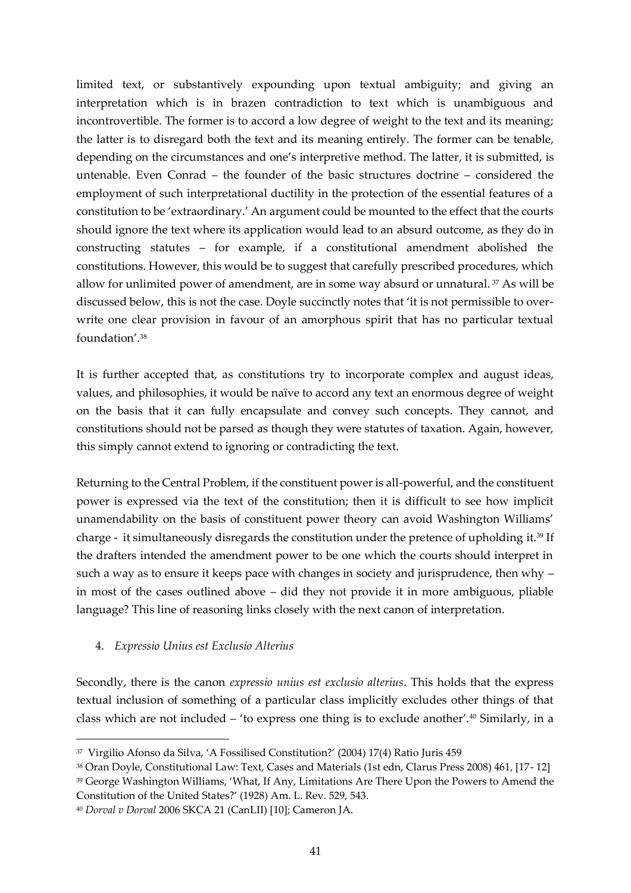limited text, or substantively expounding upon textual ambiguity; and giving an interpretation which is in brazen contradiction to text which is unambiguous and incontrovertible. The former is to accord a low degree of weight to the text and its meaning; the latter is to disregard both the text and its meaning entirely. The former can be tenable, depending on the circumstances and one's interpretive method. The latter, it is submitted, is untenable. Even Conrad – the founder of the basic structures doctrine – considered the employment of such interpretational ductility in the protection of the essential features of a constitution to be 'extraordinary.' An argument could be mounted to the effect that the courts should ignore the text where its application would lead to an absurd outcome, as they do in constructing statutes – for example, if a constitutional amendment abolished the constitutions. However, this would be to suggest that carefully prescribed procedures, which allow for unlimited power of amendment, are in some way absurd or unnatural. <sup>37</sup> As will be discussed below, this is not the case. Doyle succinctly notes that 'it is not permissible to overwrite one clear provision in favour of an amorphous spirit that has no particular textual foundation'.<sup>38</sup>

It is further accepted that, as constitutions try to incorporate complex and august ideas, values, and philosophies, it would be naïve to accord any text an enormous degree of weight on the basis that it can fully encapsulate and convey such concepts. They cannot, and constitutions should not be parsed as though they were statutes of taxation. Again, however, this simply cannot extend to ignoring or contradicting the text.

Returning to the Central Problem, if the constituent power is all-powerful, and the constituent power is expressed via the text of the constitution; then it is difficult to see how implicit unamendability on the basis of constituent power theory can avoid Washington Williams' charge - it simultaneously disregards the constitution under the pretence of upholding it. <sup>39</sup> If the drafters intended the amendment power to be one which the courts should interpret in such a way as to ensure it keeps pace with changes in society and jurisprudence, then why – in most of the cases outlined above – did they not provide it in more ambiguous, pliable language? This line of reasoning links closely with the next canon of interpretation.

## 4. *Expressio Unius est Exclusio Alterius*

Secondly, there is the canon *expressio unius est exclusio alterius*. This holds that the express textual inclusion of something of a particular class implicitly excludes other things of that class which are not included – 'to express one thing is to exclude another'.<sup>40</sup> Similarly, in a

<sup>37</sup> Virgilio Afonso da Silva, 'A Fossilised Constitution?' (2004) 17(4) Ratio Juris 459

<sup>38</sup> Oran Doyle, Constitutional Law: Text, Cases and Materials (1st edn, Clarus Press 2008) 461, [17- 12]

<sup>&</sup>lt;sup>39</sup> George Washington Williams, 'What, If Any, Limitations Are There Upon the Powers to Amend the Constitution of the United States?' (1928) Am. L. Rev. 529, 543.

<sup>40</sup> *Dorval v Dorval* 2006 SKCA 21 (CanLII) [10]; Cameron JA.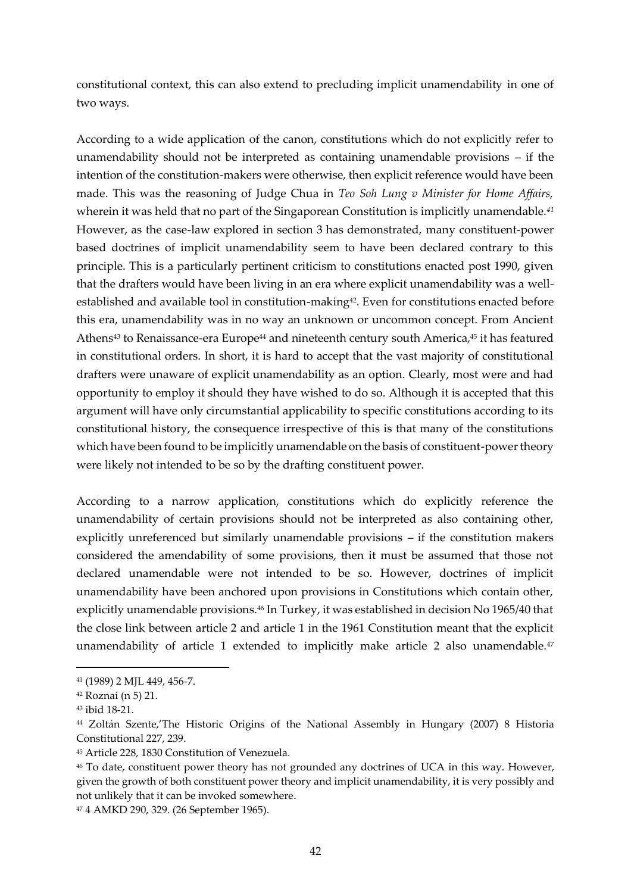constitutional context, this can also extend to precluding implicit unamendability in one of two ways.

According to a wide application of the canon, constitutions which do not explicitly refer to unamendability should not be interpreted as containing unamendable provisions – if the intention of the constitution-makers were otherwise, then explicit reference would have been made. This was the reasoning of Judge Chua in *Teo Soh Lung v Minister for Home Affairs,*  wherein it was held that no part of the Singaporean Constitution is implicitly unamendable.*<sup>41</sup>* However, as the case-law explored in section 3 has demonstrated, many constituent-power based doctrines of implicit unamendability seem to have been declared contrary to this principle. This is a particularly pertinent criticism to constitutions enacted post 1990, given that the drafters would have been living in an era where explicit unamendability was a wellestablished and available tool in constitution-making<sup>42</sup>. Even for constitutions enacted before this era, unamendability was in no way an unknown or uncommon concept. From Ancient Athens<sup>43</sup> to Renaissance-era Europe<sup>44</sup> and nineteenth century south America,<sup>45</sup> it has featured in constitutional orders. In short, it is hard to accept that the vast majority of constitutional drafters were unaware of explicit unamendability as an option. Clearly, most were and had opportunity to employ it should they have wished to do so. Although it is accepted that this argument will have only circumstantial applicability to specific constitutions according to its constitutional history, the consequence irrespective of this is that many of the constitutions which have been found to be implicitly unamendable on the basis of constituent-power theory were likely not intended to be so by the drafting constituent power.

According to a narrow application, constitutions which do explicitly reference the unamendability of certain provisions should not be interpreted as also containing other, explicitly unreferenced but similarly unamendable provisions – if the constitution makers considered the amendability of some provisions, then it must be assumed that those not declared unamendable were not intended to be so. However, doctrines of implicit unamendability have been anchored upon provisions in Constitutions which contain other, explicitly unamendable provisions.<sup>46</sup> In Turkey, it was established in decision No 1965/40 that the close link between article 2 and article 1 in the 1961 Constitution meant that the explicit unamendability of article 1 extended to implicitly make article 2 also unamendable. $47$ 

<sup>41</sup> (1989) 2 MJL 449, 456-7.

<sup>42</sup> Roznai (n 5) 21.

<sup>43</sup> ibid 18-21.

<sup>44</sup> Zoltán Szente,'The Historic Origins of the National Assembly in Hungary (2007) 8 Historia Constitutional 227, 239.

<sup>45</sup> Article 228, 1830 Constitution of Venezuela.

<sup>46</sup> To date, constituent power theory has not grounded any doctrines of UCA in this way. However, given the growth of both constituent power theory and implicit unamendability, it is very possibly and not unlikely that it can be invoked somewhere.

<sup>47</sup> 4 AMKD 290, 329. (26 September 1965).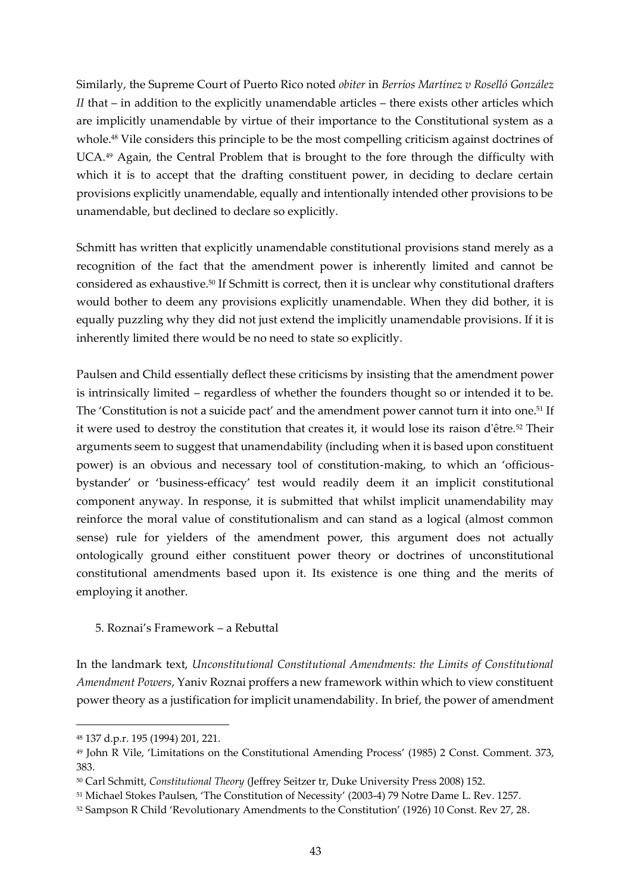Similarly, the Supreme Court of Puerto Rico noted *obiter* in *Berríos Martínez v Roselló González II* that – in addition to the explicitly unamendable articles – there exists other articles which are implicitly unamendable by virtue of their importance to the Constitutional system as a whole.<sup>48</sup> Vile considers this principle to be the most compelling criticism against doctrines of UCA.<sup>49</sup> Again, the Central Problem that is brought to the fore through the difficulty with which it is to accept that the drafting constituent power, in deciding to declare certain provisions explicitly unamendable, equally and intentionally intended other provisions to be unamendable, but declined to declare so explicitly.

Schmitt has written that explicitly unamendable constitutional provisions stand merely as a recognition of the fact that the amendment power is inherently limited and cannot be considered as exhaustive.<sup>50</sup> If Schmitt is correct, then it is unclear why constitutional drafters would bother to deem any provisions explicitly unamendable. When they did bother, it is equally puzzling why they did not just extend the implicitly unamendable provisions. If it is inherently limited there would be no need to state so explicitly.

Paulsen and Child essentially deflect these criticisms by insisting that the amendment power is intrinsically limited – regardless of whether the founders thought so or intended it to be. The 'Constitution is not a suicide pact' and the amendment power cannot turn it into one.<sup>51</sup> If it were used to destroy the constitution that creates it, it would lose its raison d'être*.* <sup>52</sup> Their arguments seem to suggest that unamendability (including when it is based upon constituent power) is an obvious and necessary tool of constitution-making, to which an 'officiousbystander' or 'business-efficacy' test would readily deem it an implicit constitutional component anyway. In response, it is submitted that whilst implicit unamendability may reinforce the moral value of constitutionalism and can stand as a logical (almost common sense) rule for yielders of the amendment power, this argument does not actually ontologically ground either constituent power theory or doctrines of unconstitutional constitutional amendments based upon it. Its existence is one thing and the merits of employing it another.

5. Roznai's Framework – a Rebuttal

In the landmark text, *Unconstitutional Constitutional Amendments: the Limits of Constitutional Amendment Powers*, Yaniv Roznai proffers a new framework within which to view constituent power theory as a justification for implicit unamendability. In brief, the power of amendment

<sup>48</sup> 137 d.p.r. 195 (1994) 201, 221.

<sup>49</sup> John R Vile, 'Limitations on the Constitutional Amending Process' (1985) 2 Const. Comment. 373, 383.

<sup>50</sup> Carl Schmitt, *Constitutional Theory* (Jeffrey Seitzer tr, Duke University Press 2008) 152.

<sup>51</sup> Michael Stokes Paulsen, 'The Constitution of Necessity' (2003-4) 79 Notre Dame L. Rev. 1257.

<sup>52</sup> Sampson R Child 'Revolutionary Amendments to the Constitution' (1926) 10 Const. Rev 27, 28.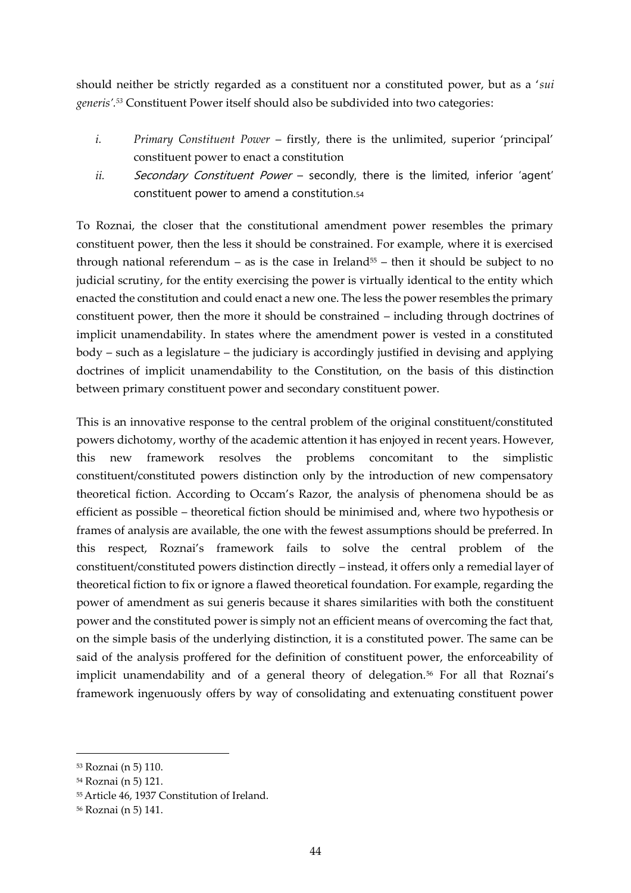should neither be strictly regarded as a constituent nor a constituted power, but as a '*sui generis'.<sup>53</sup>* Constituent Power itself should also be subdivided into two categories:

- *i. Primary Constituent Power* firstly, there is the unlimited, superior 'principal' constituent power to enact a constitution
- ii. Secondary Constituent Power secondly, there is the limited, inferior 'agent' constituent power to amend a constitution.<sup>54</sup>

To Roznai, the closer that the constitutional amendment power resembles the primary constituent power, then the less it should be constrained. For example, where it is exercised through national referendum – as is the case in Ireland<sup>55</sup> – then it should be subject to no judicial scrutiny, for the entity exercising the power is virtually identical to the entity which enacted the constitution and could enact a new one. The less the power resembles the primary constituent power, then the more it should be constrained – including through doctrines of implicit unamendability. In states where the amendment power is vested in a constituted body – such as a legislature – the judiciary is accordingly justified in devising and applying doctrines of implicit unamendability to the Constitution, on the basis of this distinction between primary constituent power and secondary constituent power.

This is an innovative response to the central problem of the original constituent/constituted powers dichotomy, worthy of the academic attention it has enjoyed in recent years. However, this new framework resolves the problems concomitant to the simplistic constituent/constituted powers distinction only by the introduction of new compensatory theoretical fiction. According to Occam's Razor, the analysis of phenomena should be as efficient as possible – theoretical fiction should be minimised and, where two hypothesis or frames of analysis are available, the one with the fewest assumptions should be preferred. In this respect, Roznai's framework fails to solve the central problem of the constituent/constituted powers distinction directly – instead, it offers only a remedial layer of theoretical fiction to fix or ignore a flawed theoretical foundation. For example, regarding the power of amendment as sui generis because it shares similarities with both the constituent power and the constituted power is simply not an efficient means of overcoming the fact that, on the simple basis of the underlying distinction, it is a constituted power. The same can be said of the analysis proffered for the definition of constituent power, the enforceability of implicit unamendability and of a general theory of delegation.<sup>56</sup> For all that Roznai's framework ingenuously offers by way of consolidating and extenuating constituent power

<sup>53</sup> Roznai (n 5) 110.

<sup>54</sup> Roznai (n 5) 121.

<sup>55</sup>Article 46, 1937 Constitution of Ireland.

<sup>56</sup> Roznai (n 5) 141.